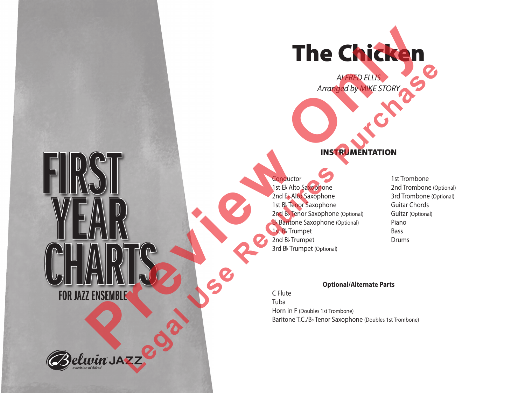

## **PREVIEW CONTRACTOR**



## INSTRUMENTATION

**Conductor** 1st El Alto Saxophone 2nd Eb Alto Saxophone 1st B<sub>b</sub> Tenor Saxophone 2nd Bb Tenor Saxophone (Optional) Eb Baritone Saxophone (Optional) 1st Bb Trumpet 2nd Bb Trumpet 3rd Bb Trumpet (Optional) Armache diplomatical Exploration of the Control Control Control Control Control Control Control Control Control Control Control Control Control Control Control Control Control Control Control Control Control Control Contro

1st Trombone 2nd Trombone (Optional) 3rd Trombone (Optional) Guitar Chords Guitar (Optional) Piano Bass Drums

## **Optional/Alternate Parts**

C Flute Tuba Horn in F (Doubles 1st Trombone) Baritone T.C./Bb Tenor Saxophone (Doubles 1st Trombone)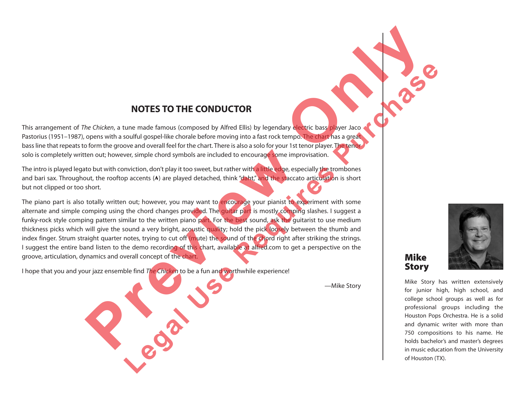## **NOTES TO THE CONDUCTOR**

This arrangement of *The Chicken*, a tune made famous (composed by Alfred Ellis) by legendary electric bass player Jaco Pastorius (1951–1987), opens with a soulful gospel-like chorale before moving into a fast rock tempo. The chart has a great bass line that repeats to form the groove and overall feel for the chart. There is also a solo for your 1st tenor player. The tenor solo is completely written out; however, simple chord symbols are included to encourage some improvisation.

The intro is played legato but with conviction, don't play it too sweet, but rather with a little edge, especially the trombones and bari sax. Throughout, the rooftop accents  $(A)$  are played detached, think "daht," and the staccato articulation is short but not clipped or too short.

The piano part is also totally written out; however, you may want to encourage your pianist to experiment with some alternate and simple comping using the chord changes provided. The guitar part is mostly comping slashes. I suggest a funky-rock style comping pattern similar to the written piano part. For the best sound, ask the guitarist to use medium thickness picks which will give the sound a very bright, acoustic quality; hold the pick loosely between the thumb and index finger. Strum straight quarter notes, trying to cut off (mute) the sound of the chord right after striking the strings. I suggest the entire band listen to the demo recording of this chart, available at alfred.com to get a perspective on the groove, articulation, dynamics and overall concept of the chart. **NOTES TO THE CONDUCTOR**<br>
Ne Choken a tane media from the comparison by Megindary and the University and the University and O comparison from the University of the University of the University and the University of the Uni **Legal Use Conserverse Conserverse Conserverse Use An and Conserverse Conserverse Conserverse Conserverse Conserverse Conserverse Conserverse Conserverse Conserverse Conserverse Conserverse Conserverse Conserverse Conserve** 

I hope that you and your jazz ensemble find *The Chicken* to be a fun and worthwhile experience!

—Mike Story



Mike Story has written extensively for junior high, high school, and college school groups as well as for professional groups including the Houston Pops Orchestra. He is a solid and dynamic writer with more than 750 compositions to his name. He holds bachelor's and master's degrees of Houston (TX).

Mike Story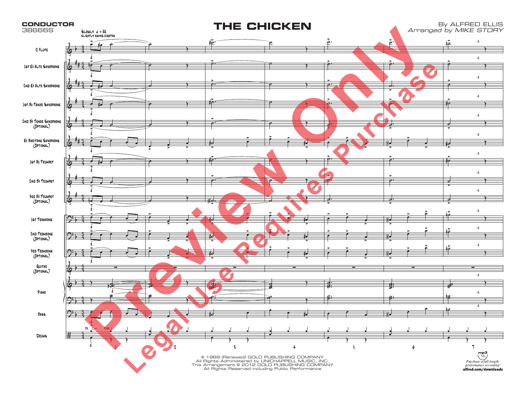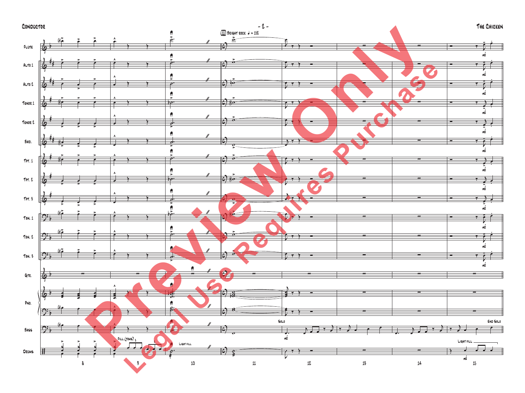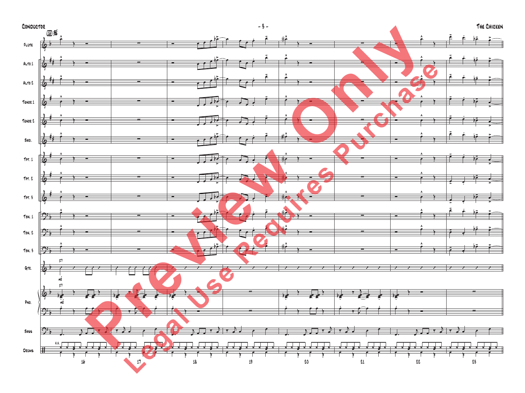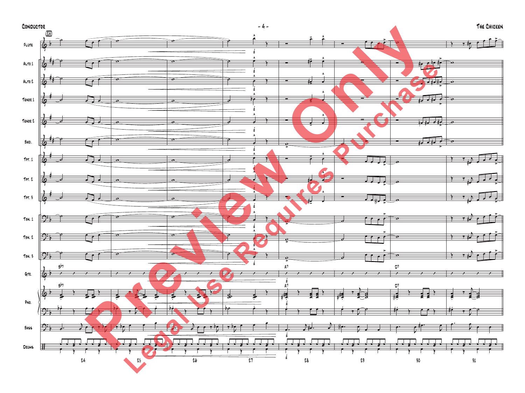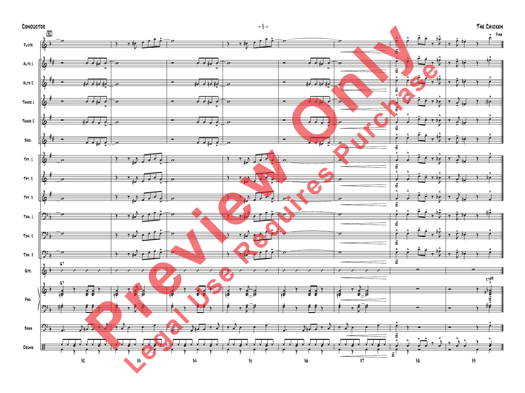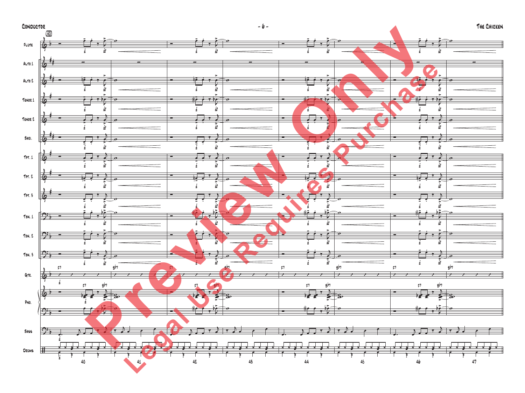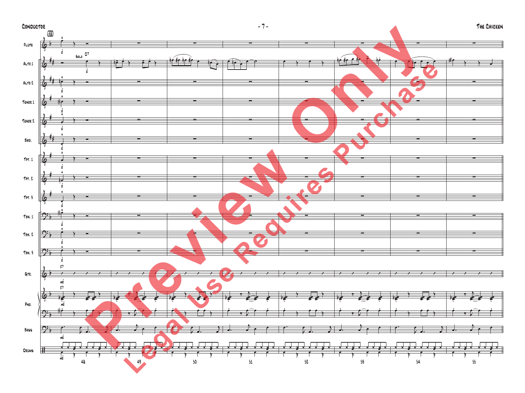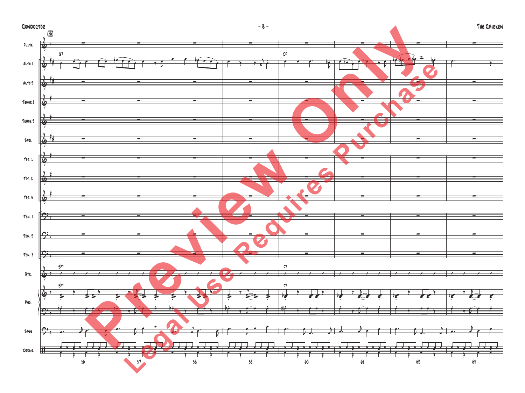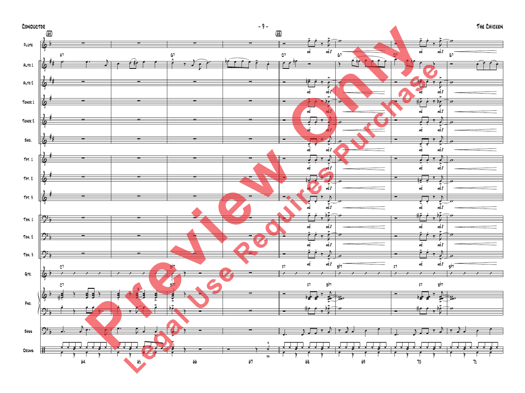